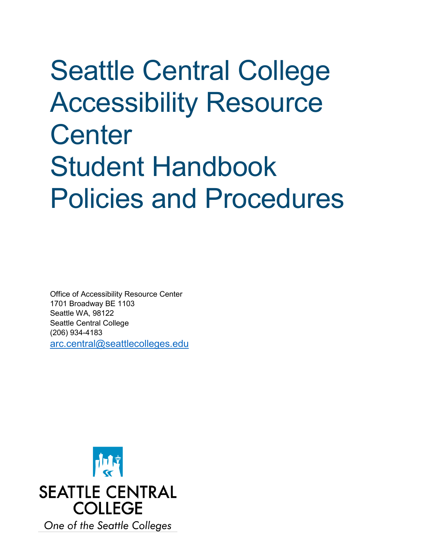# Seattle Central College Accessibility Resource **Center** Student Handbook Policies and Procedures

Office of Accessibility Resource Center 1701 Broadway BE 1103 Seattle WA, 98122 Seattle Central College (206) 934-4183 [arc.central@seattlecolleges.edu](mailto:arc.central@seattlecolleges.edu)

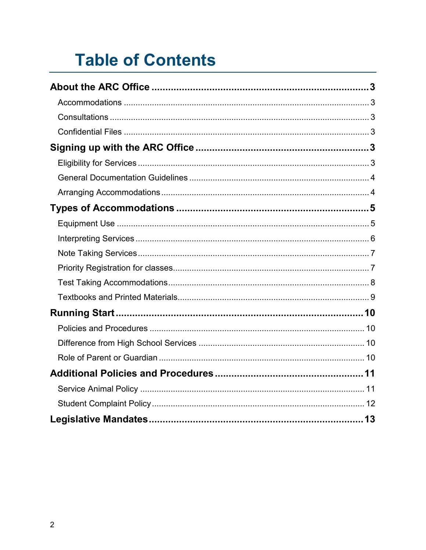# **Table of Contents**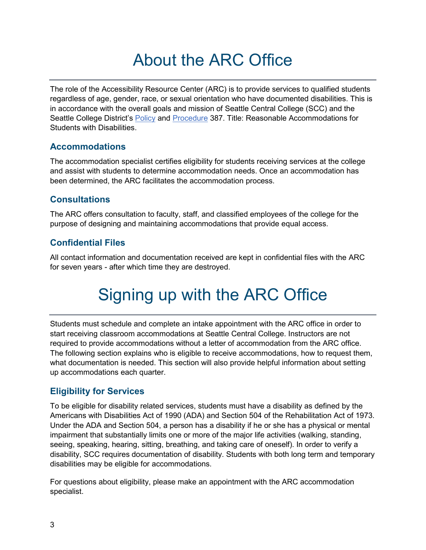# About the ARC Office

<span id="page-2-0"></span>The role of the Accessibility Resource Center (ARC) is to provide services to qualified students regardless of age, gender, race, or sexual orientation who have documented disabilities. This is in accordance with the overall goals and mission of Seattle Central College (SCC) and the Seattle College District's **Policy and [Procedure](https://www.seattlecolleges.edu/about/policies-and-procedures/pro387?hasboth=1&docID=387&companionId=pol) 387. Title: Reasonable Accommodations for** Students with Disabilities.

## <span id="page-2-1"></span>**Accommodations**

The accommodation specialist certifies eligibility for students receiving services at the college and assist with students to determine accommodation needs. Once an accommodation has been determined, the ARC facilitates the accommodation process.

# <span id="page-2-2"></span>**Consultations**

The ARC offers consultation to faculty, staff, and classified employees of the college for the purpose of designing and maintaining accommodations that provide equal access.

# <span id="page-2-3"></span>**Confidential Files**

<span id="page-2-4"></span>All contact information and documentation received are kept in confidential files with the ARC for seven years - after which time they are destroyed.

# Signing up with the ARC Office

Students must schedule and complete an intake appointment with the ARC office in order to start receiving classroom accommodations at Seattle Central College. Instructors are not required to provide accommodations without a letter of accommodation from the ARC office. The following section explains who is eligible to receive accommodations, how to request them, what documentation is needed. This section will also provide helpful information about setting up accommodations each quarter.

# <span id="page-2-5"></span>**Eligibility for Services**

To be eligible for disability related services, students must have a disability as defined by the Americans with Disabilities Act of 1990 (ADA) and Section 504 of the Rehabilitation Act of 1973. Under the ADA and Section 504, a person has a disability if he or she has a physical or mental impairment that substantially limits one or more of the major life activities (walking, standing, seeing, speaking, hearing, sitting, breathing, and taking care of oneself). In order to verify a disability, SCC requires documentation of disability. Students with both long term and temporary disabilities may be eligible for accommodations.

For questions about eligibility, please make an appointment with the ARC accommodation specialist.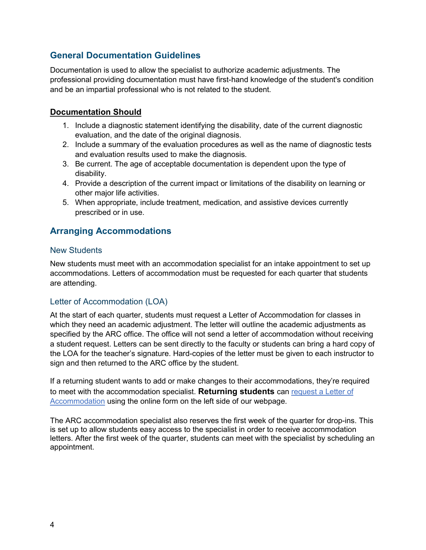# <span id="page-3-0"></span>**General Documentation Guidelines**

Documentation is used to allow the specialist to authorize academic adjustments. The professional providing documentation must have first-hand knowledge of the student's condition and be an impartial professional who is not related to the student.

#### **Documentation Should**

- 1. Include a diagnostic statement identifying the disability, date of the current diagnostic evaluation, and the date of the original diagnosis.
- 2. Include a summary of the evaluation procedures as well as the name of diagnostic tests and evaluation results used to make the diagnosis.
- 3. Be current. The age of acceptable documentation is dependent upon the type of disability.
- 4. Provide a description of the current impact or limitations of the disability on learning or other major life activities.
- 5. When appropriate, include treatment, medication, and assistive devices currently prescribed or in use.

## <span id="page-3-1"></span>**Arranging Accommodations**

#### New Students

New students must meet with an accommodation specialist for an intake appointment to set up accommodations. Letters of accommodation must be requested for each quarter that students are attending.

#### Letter of Accommodation (LOA)

At the start of each quarter, students must request a Letter of Accommodation for classes in which they need an academic adjustment. The letter will outline the academic adjustments as specified by the ARC office. The office will not send a letter of accommodation without receiving a student request. Letters can be sent directly to the faculty or students can bring a hard copy of the LOA for the teacher's signature. Hard-copies of the letter must be given to each instructor to sign and then returned to the ARC office by the student.

If a returning student wants to add or make changes to their accommodations, they're required to meet with the accommodation specialist. **Returning students** can [request a Letter of](https://seattlecentral.edu/campus-life/student-support-and-services/disability-support/letter-accommodation-request-form)  [Accommodation](https://seattlecentral.edu/campus-life/student-support-and-services/disability-support/letter-accommodation-request-form) using the online form on the left side of our webpage.

The ARC accommodation specialist also reserves the first week of the quarter for drop-ins. This is set up to allow students easy access to the specialist in order to receive accommodation letters. After the first week of the quarter, students can meet with the specialist by scheduling an appointment.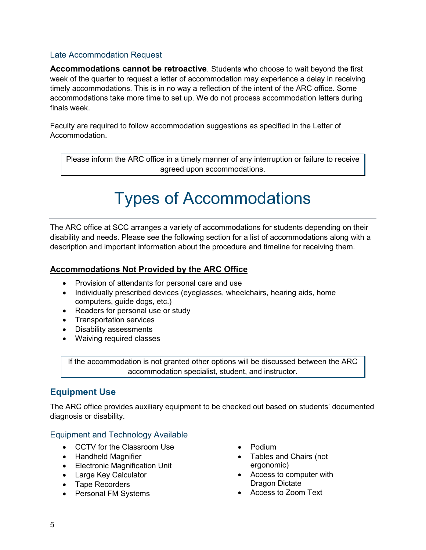#### Late Accommodation Request

**Accommodations cannot be retroactive**. Students who choose to wait beyond the first week of the quarter to request a letter of accommodation may experience a delay in receiving timely accommodations. This is in no way a reflection of the intent of the ARC office. Some accommodations take more time to set up. We do not process accommodation letters during finals week.

Faculty are required to follow accommodation suggestions as specified in the Letter of Accommodation.

<span id="page-4-0"></span>Please inform the ARC office in a timely manner of any interruption or failure to receive agreed upon accommodations.

# Types of Accommodations

The ARC office at SCC arranges a variety of accommodations for students depending on their disability and needs. Please see the following section for a list of accommodations along with a description and important information about the procedure and timeline for receiving them.

#### **Accommodations Not Provided by the ARC Office**

- Provision of attendants for personal care and use
- Individually prescribed devices (eyeglasses, wheelchairs, hearing aids, home computers, guide dogs, etc.)
- Readers for personal use or study
- Transportation services
- Disability assessments
- Waiving required classes

If the accommodation is not granted other options will be discussed between the ARC accommodation specialist, student, and instructor.

# <span id="page-4-1"></span>**Equipment Use**

The ARC office provides auxiliary equipment to be checked out based on students' documented diagnosis or disability.

#### Equipment and Technology Available

- CCTV for the Classroom Use
- Handheld Magnifier
- Electronic Magnification Unit
- Large Key Calculator
- Tape Recorders
- Personal FM Systems
- Podium
- Tables and Chairs (not ergonomic)
- Access to computer with Dragon Dictate
- Access to Zoom Text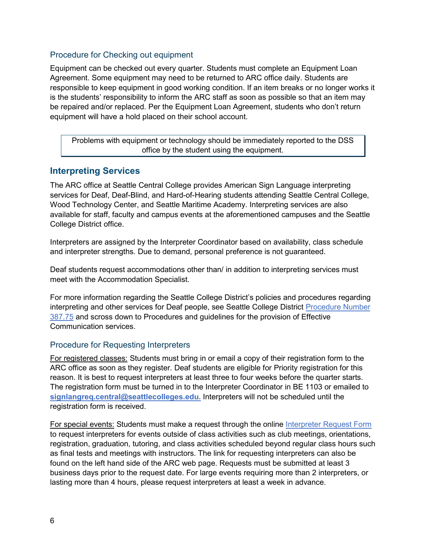#### Procedure for Checking out equipment

Equipment can be checked out every quarter. Students must complete an Equipment Loan Agreement. Some equipment may need to be returned to ARC office daily. Students are responsible to keep equipment in good working condition. If an item breaks or no longer works it is the students' responsibility to inform the ARC staff as soon as possible so that an item may be repaired and/or replaced. Per the Equipment Loan Agreement, students who don't return equipment will have a hold placed on their school account.

Problems with equipment or technology should be immediately reported to the DSS office by the student using the equipment.

## <span id="page-5-0"></span>**Interpreting Services**

The ARC office at Seattle Central College provides American Sign Language interpreting services for Deaf, Deaf-Blind, and Hard-of-Hearing students attending Seattle Central College, Wood Technology Center, and Seattle Maritime Academy. Interpreting services are also available for staff, faculty and campus events at the aforementioned campuses and the Seattle College District office.

Interpreters are assigned by the Interpreter Coordinator based on availability, class schedule and interpreter strengths. Due to demand, personal preference is not guaranteed.

Deaf students request accommodations other than/ in addition to interpreting services must meet with the Accommodation Specialist.

For more information regarding the Seattle College District's policies and procedures regarding interpreting and other services for Deaf people, see Seattle College District [Procedure Number](https://www.seattlecolleges.edu/about/policies-and-procedures/pro387?hasboth=1&docID=387&companionId=pol)  [387.75](https://www.seattlecolleges.edu/about/policies-and-procedures/pro387?hasboth=1&docID=387&companionId=pol) and scross down to Procedures and guidelines for the provision of Effective Communication services.

#### Procedure for Requesting Interpreters

For registered classes: Students must bring in or email a copy of their registration form to the ARC office as soon as they register. Deaf students are eligible for Priority registration for this reason. It is best to request interpreters at least three to four weeks before the quarter starts. The registration form must be turned in to the Interpreter Coordinator in BE 1103 or emailed to **[signlangreq.central@seattlecolleges.edu.](mailto:signlangreq.central@seattlecolleges.edu)** Interpreters will not be scheduled until the registration form is received.

For special events: Students must make a request through the online [Interpreter Request Form](https://seattlecentral.edu/campus-life/student-support-and-services/disability-support/interpreter-request-form) to request interpreters for events outside of class activities such as club meetings, orientations, registration, graduation, tutoring, and class activities scheduled beyond regular class hours such as final tests and meetings with instructors. The link for requesting interpreters can also be found on the left hand side of the ARC web page. Requests must be submitted at least 3 business days prior to the request date. For large events requiring more than 2 interpreters, or lasting more than 4 hours, please request interpreters at least a week in advance.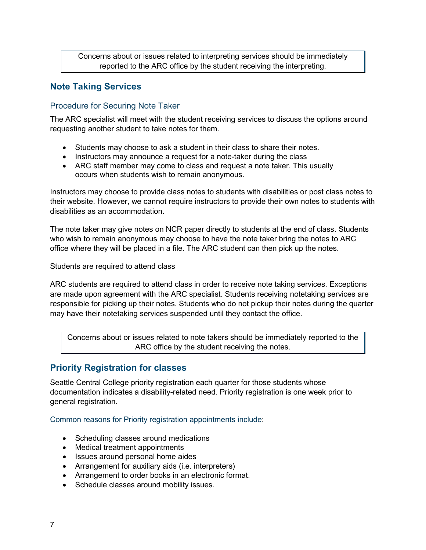Concerns about or issues related to interpreting services should be immediately reported to the ARC office by the student receiving the interpreting.

### <span id="page-6-0"></span>**Note Taking Services**

#### Procedure for Securing Note Taker

The ARC specialist will meet with the student receiving services to discuss the options around requesting another student to take notes for them.

- Students may choose to ask a student in their class to share their notes.
- Instructors may announce a request for a note-taker during the class
- ARC staff member may come to class and request a note taker. This usually occurs when students wish to remain anonymous.

Instructors may choose to provide class notes to students with disabilities or post class notes to their website. However, we cannot require instructors to provide their own notes to students with disabilities as an accommodation.

The note taker may give notes on NCR paper directly to students at the end of class. Students who wish to remain anonymous may choose to have the note taker bring the notes to ARC office where they will be placed in a file. The ARC student can then pick up the notes.

Students are required to attend class

ARC students are required to attend class in order to receive note taking services. Exceptions are made upon agreement with the ARC specialist. Students receiving notetaking services are responsible for picking up their notes. Students who do not pickup their notes during the quarter may have their notetaking services suspended until they contact the office.

Concerns about or issues related to note takers should be immediately reported to the ARC office by the student receiving the notes.

#### <span id="page-6-1"></span>**Priority Registration for classes**

Seattle Central College priority registration each quarter for those students whose documentation indicates a disability-related need. Priority registration is one week prior to general registration.

Common reasons for Priority registration appointments include:

- Scheduling classes around medications
- Medical treatment appointments
- Issues around personal home aides
- Arrangement for auxiliary aids (i.e. interpreters)
- Arrangement to order books in an electronic format.
- Schedule classes around mobility issues.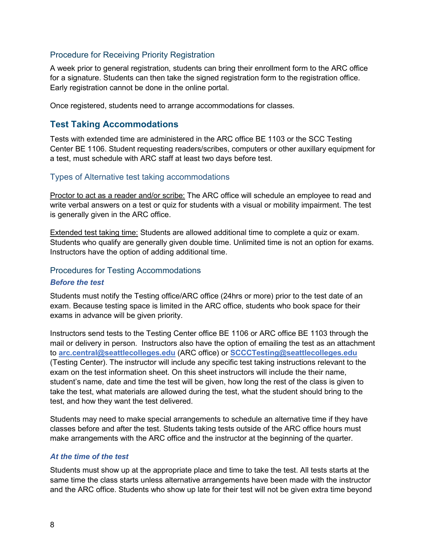#### Procedure for Receiving Priority Registration

A week prior to general registration, students can bring their enrollment form to the ARC office for a signature. Students can then take the signed registration form to the registration office. Early registration cannot be done in the online portal.

Once registered, students need to arrange accommodations for classes.

### <span id="page-7-0"></span>**Test Taking Accommodations**

Tests with extended time are administered in the ARC office BE 1103 or the SCC Testing Center BE 1106. Student requesting readers/scribes, computers or other auxillary equipment for a test, must schedule with ARC staff at least two days before test.

#### Types of Alternative test taking accommodations

Proctor to act as a reader and/or scribe: The ARC office will schedule an employee to read and write verbal answers on a test or quiz for students with a visual or mobility impairment. The test is generally given in the ARC office.

Extended test taking time: Students are allowed additional time to complete a quiz or exam. Students who qualify are generally given double time. Unlimited time is not an option for exams. Instructors have the option of adding additional time.

#### Procedures for Testing Accommodations

#### *Before the test*

Students must notify the Testing office/ARC office (24hrs or more) prior to the test date of an exam. Because testing space is limited in the ARC office, students who book space for their exams in advance will be given priority.

Instructors send tests to the Testing Center office BE 1106 or ARC office BE 1103 through the mail or delivery in person. Instructors also have the option of emailing the test as an attachment to **[arc.central@seattlecolleges.edu](mailto:arc.central@seattlecolleges.edu)** (ARC office) or **[SCCCTesting@seattlecolleges.edu](mailto:SCCCTesting@seattlecolleges.edu)** (Testing Center). The instructor will include any specific test taking instructions relevant to the exam on the test information sheet. On this sheet instructors will include the their name, student's name, date and time the test will be given, how long the rest of the class is given to take the test, what materials are allowed during the test, what the student should bring to the test, and how they want the test delivered.

Students may need to make special arrangements to schedule an alternative time if they have classes before and after the test. Students taking tests outside of the ARC office hours must make arrangements with the ARC office and the instructor at the beginning of the quarter.

#### *At the time of the test*

Students must show up at the appropriate place and time to take the test. All tests starts at the same time the class starts unless alternative arrangements have been made with the instructor and the ARC office. Students who show up late for their test will not be given extra time beyond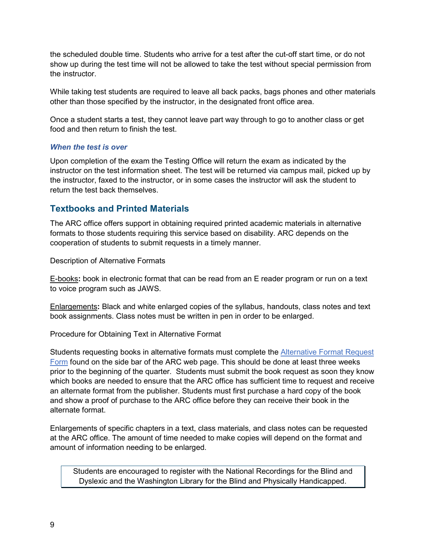the scheduled double time. Students who arrive for a test after the cut-off start time, or do not show up during the test time will not be allowed to take the test without special permission from the instructor.

While taking test students are required to leave all back packs, bags phones and other materials other than those specified by the instructor, in the designated front office area.

Once a student starts a test, they cannot leave part way through to go to another class or get food and then return to finish the test.

#### *When the test is over*

Upon completion of the exam the Testing Office will return the exam as indicated by the instructor on the test information sheet. The test will be returned via campus mail, picked up by the instructor, faxed to the instructor, or in some cases the instructor will ask the student to return the test back themselves.

## <span id="page-8-0"></span>**Textbooks and Printed Materials**

The ARC office offers support in obtaining required printed academic materials in alternative formats to those students requiring this service based on disability. ARC depends on the cooperation of students to submit requests in a timely manner.

Description of Alternative Formats

E-books**:** book in electronic format that can be read from an E reader program or run on a text to voice program such as JAWS.

Enlargements**:** Black and white enlarged copies of the syllabus, handouts, class notes and text book assignments. Class notes must be written in pen in order to be enlarged.

Procedure for Obtaining Text in Alternative Format

Students requesting books in alternative formats must complete the [Alternative Format Request](https://seattlecentral.edu/pdf-library/disability-support/alternative-format-book-request.pdf)  [Form](https://seattlecentral.edu/pdf-library/disability-support/alternative-format-book-request.pdf) found on the side bar of the ARC web page. This should be done at least three weeks prior to the beginning of the quarter. Students must submit the book request as soon they know which books are needed to ensure that the ARC office has sufficient time to request and receive an alternate format from the publisher. Students must first purchase a hard copy of the book and show a proof of purchase to the ARC office before they can receive their book in the alternate format.

Enlargements of specific chapters in a text, class materials, and class notes can be requested at the ARC office. The amount of time needed to make copies will depend on the format and amount of information needing to be enlarged.

Students are encouraged to register with the National Recordings for the Blind and Dyslexic and the Washington Library for the Blind and Physically Handicapped.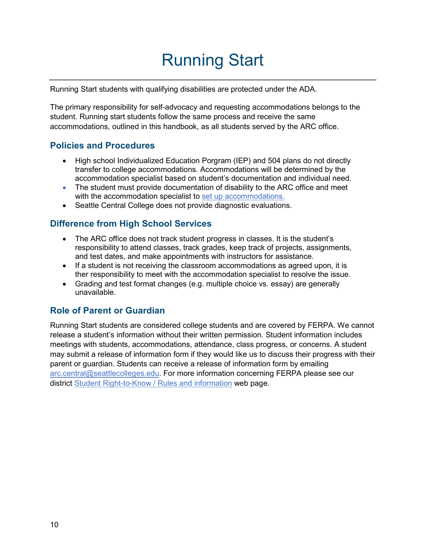# Running Start

<span id="page-9-0"></span>Running Start students with qualifying disabilities are protected under the ADA.

The primary responsibility for self-advocacy and requesting accommodations belongs to the student. Running start students follow the same process and receive the same accommodations, outlined in this handbook, as all students served by the ARC office.

## <span id="page-9-1"></span>**Policies and Procedures**

- High school Individualized Education Porgram (IEP) and 504 plans do not directly transfer to college accommodations. Accommodations will be determined by the accommodation specialist based on student's documentation and individual need.
- The student must provide documentation of disability to the ARC office and meet with the accommodation specialist to [set up accommodations.](#page-2-4)
- Seattle Central College does not provide diagnostic evaluations.

# <span id="page-9-2"></span>**Difference from High School Services**

- The ARC office does not track student progress in classes. It is the student's responsibility to attend classes, track grades, keep track of projects, assignments, and test dates, and make appointments with instructors for assistance.
- If a student is not receiving the classroom accommodations as agreed upon, it is ther responsibility to meet with the accommodation specialist to resolve the issue.
- Grading and test format changes (e.g. multiple choice vs. essay) are generally unavailable.

### <span id="page-9-3"></span>**Role of Parent or Guardian**

Running Start students are considered college students and are covered by FERPA. We cannot release a student's information without their written permission. Student information includes meetings with students, accommodations, attendance, class progress, or concerns. A student may submit a release of information form if they would like us to discuss their progress with their parent or guardian. Students can receive a release of information form by emailing [arc.central@seattlecolleges.edu.](mailto:arc.central@seattlecolleges.edu) For more information concerning FERPA please see our district [Student Right-to-Know / Rules and information](https://www.seattlecolleges.edu/students-rights-and-rules) web page.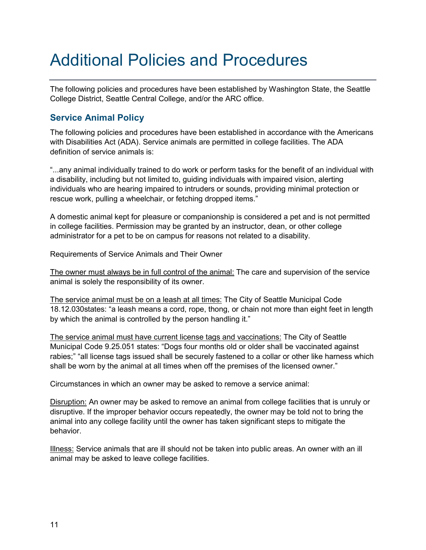# <span id="page-10-0"></span>Additional Policies and Procedures

The following policies and procedures have been established by Washington State, the Seattle College District, Seattle Central College, and/or the ARC office.

# <span id="page-10-1"></span>**Service Animal Policy**

The following policies and procedures have been established in accordance with the Americans with Disabilities Act (ADA). Service animals are permitted in college facilities. The ADA definition of service animals is:

"...any animal individually trained to do work or perform tasks for the benefit of an individual with a disability, including but not limited to, guiding individuals with impaired vision, alerting individuals who are hearing impaired to intruders or sounds, providing minimal protection or rescue work, pulling a wheelchair, or fetching dropped items."

A domestic animal kept for pleasure or companionship is considered a pet and is not permitted in college facilities. Permission may be granted by an instructor, dean, or other college administrator for a pet to be on campus for reasons not related to a disability.

Requirements of Service Animals and Their Owner

The owner must always be in full control of the animal: The care and supervision of the service animal is solely the responsibility of its owner.

The service animal must be on a leash at all times: The City of Seattle Municipal Code 18.12.030states: "a leash means a cord, rope, thong, or chain not more than eight feet in length by which the animal is controlled by the person handling it."

The service animal must have current license tags and vaccinations: The City of Seattle Municipal Code 9.25.051 states: "Dogs four months old or older shall be vaccinated against rabies;" "all license tags issued shall be securely fastened to a collar or other like harness which shall be worn by the animal at all times when off the premises of the licensed owner."

Circumstances in which an owner may be asked to remove a service animal:

Disruption: An owner may be asked to remove an animal from college facilities that is unruly or disruptive. If the improper behavior occurs repeatedly, the owner may be told not to bring the animal into any college facility until the owner has taken significant steps to mitigate the behavior.

Illness: Service animals that are ill should not be taken into public areas. An owner with an ill animal may be asked to leave college facilities.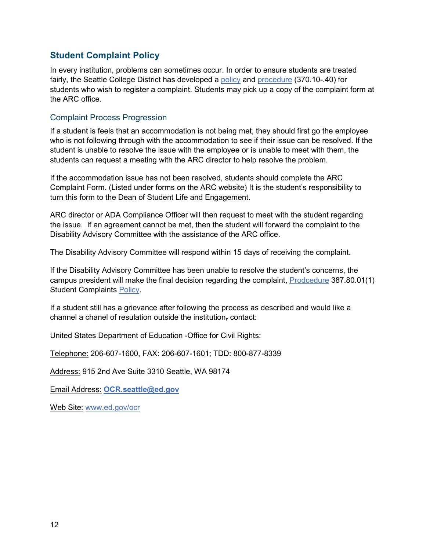# <span id="page-11-0"></span>**Student Complaint Policy**

In every institution, problems can sometimes occur. In order to ensure students are treated fairly, the Seattle College District has developed a [policy](https://www.seattlecolleges.edu/about/policies-and-procedures/pol370?hasboth=1&docID=370&companionId=pro) and [procedure](https://www.seattlecolleges.edu/about/policies-and-procedures/pro370?hasboth=1&docID=370&companionId=pol) (370.10-.40) for students who wish to register a complaint. Students may pick up a copy of the complaint form at the ARC office.

#### Complaint Process Progression

If a student is feels that an accommodation is not being met, they should first go the employee who is not following through with the accommodation to see if their issue can be resolved. If the student is unable to resolve the issue with the employee or is unable to meet with them, the students can request a meeting with the ARC director to help resolve the problem.

If the accommodation issue has not been resolved, students should complete the [ARC](http://seattlecentral.edu/disability-support/index.php)  [Complaint Form.](http://seattlecentral.edu/disability-support/index.php) (Listed under forms on the ARC website) It is the student's responsibility to turn this form to the Dean of Student Life and Engagement.

ARC director or ADA Compliance Officer will then request to meet with the student regarding the issue. If an agreement cannot be met, then the student will forward the complaint to the Disability Advisory Committee with the assistance of the ARC office.

The Disability Advisory Committee will respond within 15 days of receiving the complaint.

If the Disability Advisory Committee has been unable to resolve the student's concerns, the campus president will make the final decision regarding the complaint, [Prodcedure](https://www.seattlecolleges.edu/about/policies-and-procedures/pro387?hasboth=1&docID=387&companionId=pol) 387.80.01(1) Student Complaints [Policy.](https://www.seattlecolleges.edu/about/policies-and-procedures/pol387?hasboth=1&docID=387&companionId=pro)

If a student still has a grievance after following the process as described and would like a channel a chanel of resulation outside the institution, contact:

United States Department of Education -Office for Civil Rights:

Telephone: 206-607-1600, FAX: 206-607-1601; TDD: 800-877-8339

Address: 915 2nd Ave Suite 3310 Seattle, WA 98174

Email Address: **[OCR.seattle@ed.gov](mailto:OCR.seattle@ed.gov)**

Web Site: [www.ed.gov/ocr](http://www.ed.gov/ocr)